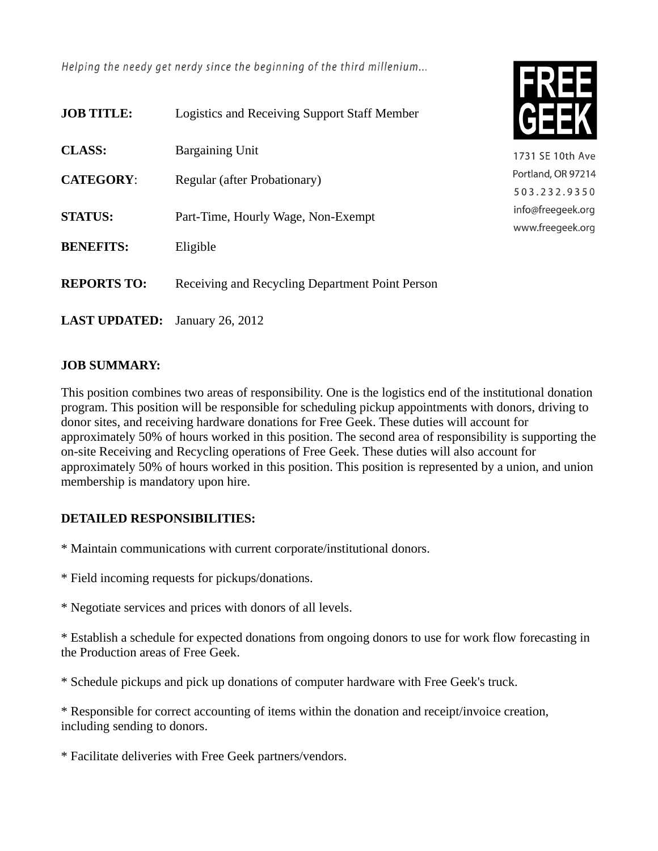Helping the needy get nerdy since the beginning of the third millenium...

| <b>JOB TITLE:</b>    | <b>Logistics and Receiving Support Staff Member</b> |
|----------------------|-----------------------------------------------------|
| <b>CLASS:</b>        | Bargaining Unit                                     |
| <b>CATEGORY:</b>     | Regular (after Probationary)                        |
| <b>STATUS:</b>       | Part-Time, Hourly Wage, Non-Exempt                  |
| <b>BENEFITS:</b>     | Eligible                                            |
| <b>REPORTS TO:</b>   | Receiving and Recycling Department Point Person     |
| <b>LAST UPDATED:</b> | January 26, 2012                                    |

## **JOB SUMMARY:**

This position combines two areas of responsibility. One is the logistics end of the institutional donation program. This position will be responsible for scheduling pickup appointments with donors, driving to donor sites, and receiving hardware donations for Free Geek. These duties will account for approximately 50% of hours worked in this position. The second area of responsibility is supporting the on-site Receiving and Recycling operations of Free Geek. These duties will also account for approximately 50% of hours worked in this position. This position is represented by a union, and union membership is mandatory upon hire.

1731 SE 10th Ave Portland, OR 97214 503.232.9350 info@freegeek.org www.freegeek.org

## **DETAILED RESPONSIBILITIES:**

\* Maintain communications with current corporate/institutional donors.

- \* Field incoming requests for pickups/donations.
- \* Negotiate services and prices with donors of all levels.

\* Establish a schedule for expected donations from ongoing donors to use for work flow forecasting in the Production areas of Free Geek.

\* Schedule pickups and pick up donations of computer hardware with Free Geek's truck.

\* Responsible for correct accounting of items within the donation and receipt/invoice creation, including sending to donors.

\* Facilitate deliveries with Free Geek partners/vendors.